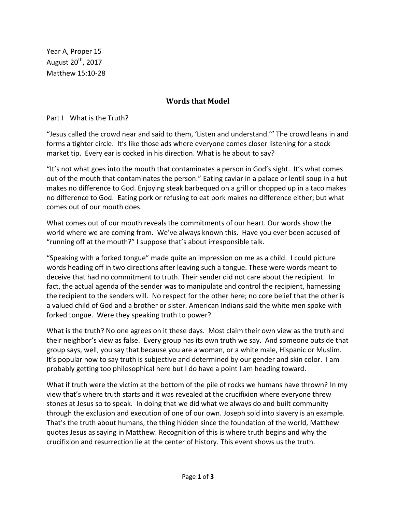Year A, Proper 15 August 20th, 2017 Matthew 15:10-28

## **Words that Model**

Part I What is the Truth?

"Jesus called the crowd near and said to them, 'Listen and understand.'" The crowd leans in and forms a tighter circle. It's like those ads where everyone comes closer listening for a stock market tip. Every ear is cocked in his direction. What is he about to say?

"It's not what goes into the mouth that contaminates a person in God's sight. It's what comes out of the mouth that contaminates the person." Eating caviar in a palace or lentil soup in a hut makes no difference to God. Enjoying steak barbequed on a grill or chopped up in a taco makes no difference to God. Eating pork or refusing to eat pork makes no difference either; but what comes out of our mouth does.

What comes out of our mouth reveals the commitments of our heart. Our words show the world where we are coming from. We've always known this. Have you ever been accused of "running off at the mouth?" I suppose that's about irresponsible talk.

"Speaking with a forked tongue" made quite an impression on me as a child. I could picture words heading off in two directions after leaving such a tongue. These were words meant to deceive that had no commitment to truth. Their sender did not care about the recipient. In fact, the actual agenda of the sender was to manipulate and control the recipient, harnessing the recipient to the senders will. No respect for the other here; no core belief that the other is a valued child of God and a brother or sister. American Indians said the white men spoke with forked tongue. Were they speaking truth to power?

What is the truth? No one agrees on it these days. Most claim their own view as the truth and their neighbor's view as false. Every group has its own truth we say. And someone outside that group says, well, you say that because you are a woman, or a white male, Hispanic or Muslim. It's popular now to say truth is subjective and determined by our gender and skin color. I am probably getting too philosophical here but I do have a point I am heading toward.

What if truth were the victim at the bottom of the pile of rocks we humans have thrown? In my view that's where truth starts and it was revealed at the crucifixion where everyone threw stones at Jesus so to speak. In doing that we did what we always do and built community through the exclusion and execution of one of our own. Joseph sold into slavery is an example. That's the truth about humans, the thing hidden since the foundation of the world, Matthew quotes Jesus as saying in Matthew. Recognition of this is where truth begins and why the crucifixion and resurrection lie at the center of history. This event shows us the truth.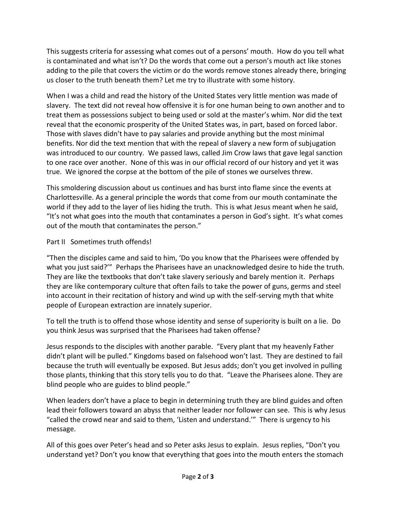This suggests criteria for assessing what comes out of a persons' mouth. How do you tell what is contaminated and what isn't? Do the words that come out a person's mouth act like stones adding to the pile that covers the victim or do the words remove stones already there, bringing us closer to the truth beneath them? Let me try to illustrate with some history.

When I was a child and read the history of the United States very little mention was made of slavery. The text did not reveal how offensive it is for one human being to own another and to treat them as possessions subject to being used or sold at the master's whim. Nor did the text reveal that the economic prosperity of the United States was, in part, based on forced labor. Those with slaves didn't have to pay salaries and provide anything but the most minimal benefits. Nor did the text mention that with the repeal of slavery a new form of subjugation was introduced to our country. We passed laws, called Jim Crow laws that gave legal sanction to one race over another. None of this was in our official record of our history and yet it was true. We ignored the corpse at the bottom of the pile of stones we ourselves threw.

This smoldering discussion about us continues and has burst into flame since the events at Charlottesville. As a general principle the words that come from our mouth contaminate the world if they add to the layer of lies hiding the truth. This is what Jesus meant when he said, "It's not what goes into the mouth that contaminates a person in God's sight. It's what comes out of the mouth that contaminates the person."

## Part II Sometimes truth offends!

"Then the disciples came and said to him, 'Do you know that the Pharisees were offended by what you just said?'" Perhaps the Pharisees have an unacknowledged desire to hide the truth. They are like the textbooks that don't take slavery seriously and barely mention it. Perhaps they are like contemporary culture that often fails to take the power of guns, germs and steel into account in their recitation of history and wind up with the self-serving myth that white people of European extraction are innately superior.

To tell the truth is to offend those whose identity and sense of superiority is built on a lie. Do you think Jesus was surprised that the Pharisees had taken offense?

Jesus responds to the disciples with another parable. "Every plant that my heavenly Father didn't plant will be pulled." Kingdoms based on falsehood won't last. They are destined to fail because the truth will eventually be exposed. But Jesus adds; don't you get involved in pulling those plants, thinking that this story tells you to do that. "Leave the Pharisees alone. They are blind people who are guides to blind people."

When leaders don't have a place to begin in determining truth they are blind guides and often lead their followers toward an abyss that neither leader nor follower can see. This is why Jesus "called the crowd near and said to them, 'Listen and understand.'" There is urgency to his message.

All of this goes over Peter's head and so Peter asks Jesus to explain. Jesus replies, "Don't you understand yet? Don't you know that everything that goes into the mouth enters the stomach